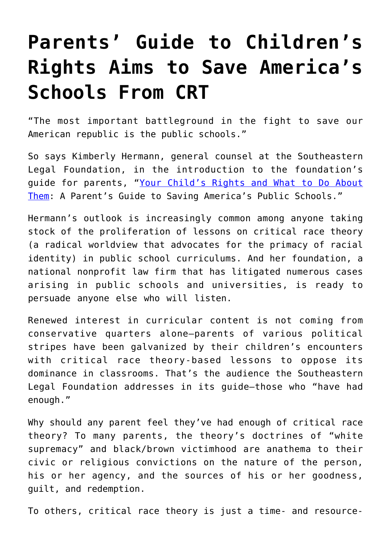## **[Parents' Guide to Children's](https://intellectualtakeout.org/2022/06/parents-guide-to-childrens-rights-aims-to-save-americas-schools-from-crt/) [Rights Aims to Save America's](https://intellectualtakeout.org/2022/06/parents-guide-to-childrens-rights-aims-to-save-americas-schools-from-crt/) [Schools From CRT](https://intellectualtakeout.org/2022/06/parents-guide-to-childrens-rights-aims-to-save-americas-schools-from-crt/)**

"The most important battleground in the fight to save our American republic is the public schools."

So says Kimberly Hermann, general counsel at the Southeastern Legal Foundation, in the introduction to the foundation's guide for parents, ["Your Child's Rights and What to Do About](https://www.slfliberty.org/wp-content/uploads/sites/12/2022/05/SLFParentGuidebook.pdf) [Them](https://www.slfliberty.org/wp-content/uploads/sites/12/2022/05/SLFParentGuidebook.pdf): A Parent's Guide to Saving America's Public Schools."

Hermann's outlook is increasingly common among anyone taking stock of the proliferation of lessons on critical race theory (a radical worldview that advocates for the primacy of racial identity) in public school curriculums. And her foundation, a national nonprofit law firm that has litigated numerous cases arising in public schools and universities, is ready to persuade anyone else who will listen.

Renewed interest in curricular content is not coming from conservative quarters alone—parents of various political stripes have been galvanized by their children's encounters with critical race theory-based lessons to oppose its dominance in classrooms. That's the audience the Southeastern Legal Foundation addresses in its guide—those who "have had enough."

Why should any parent feel they've had enough of critical race theory? To many parents, the theory's doctrines of "white supremacy" and black/brown victimhood are anathema to their civic or religious convictions on the nature of the person, his or her agency, and the sources of his or her goodness, guilt, and redemption.

To others, critical race theory is just a time- and resource-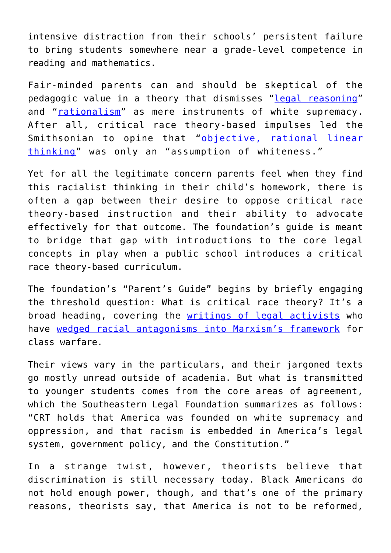intensive distraction from their schools' persistent failure to bring students somewhere near a grade-level competence in reading and mathematics.

Fair-minded parents can and should be skeptical of the pedagogic value in a theory that dismisses "[legal reasoning"](https://jordaninstituteforfamilies.org/wp-content/uploads/2020/04/Delgado_and_Stefancic_on_Critical_Race_Theory.pdf) and "[rationalism"](https://jordaninstituteforfamilies.org/wp-content/uploads/2020/04/Delgado_and_Stefancic_on_Critical_Race_Theory.pdf) as mere instruments of white supremacy. After all, critical race theory-based impulses led the Smithsonian to opine that "[objective, rational linear](https://thefederalist.com/2020/07/15/smithsonian-pushes-racist-material-claiming-white-culture-is-nuclear-family-self-reliance-being-polite/) [thinking"](https://thefederalist.com/2020/07/15/smithsonian-pushes-racist-material-claiming-white-culture-is-nuclear-family-self-reliance-being-polite/) was only an "assumption of whiteness."

Yet for all the legitimate concern parents feel when they find this racialist thinking in their child's homework, there is often a gap between their desire to oppose critical race theory-based instruction and their ability to advocate effectively for that outcome. The foundation's guide is meant to bridge that gap with introductions to the core legal concepts in play when a public school introduces a critical race theory-based curriculum.

The foundation's "Parent's Guide" begins by briefly engaging the threshold question: What is critical race theory? It's a broad heading, covering the [writings of legal activists](https://www.dailysignal.com/2022/04/28/is-critical-race-theory-being-taught-in-our-schools-here-are-the-facts/) who have [wedged racial antagonisms into Marxism's framework](https://www.dailysignal.com/2022/02/23/seeking-truth-former-liberal-james-lindsay-now-fights-critical-race-theory/) for class warfare.

Their views vary in the particulars, and their jargoned texts go mostly unread outside of academia. But what is transmitted to younger students comes from the core areas of agreement, which the Southeastern Legal Foundation summarizes as follows: "CRT holds that America was founded on white supremacy and oppression, and that racism is embedded in America's legal system, government policy, and the Constitution."

In a strange twist, however, theorists believe that discrimination is still necessary today. Black Americans do not hold enough power, though, and that's one of the primary reasons, theorists say, that America is not to be reformed,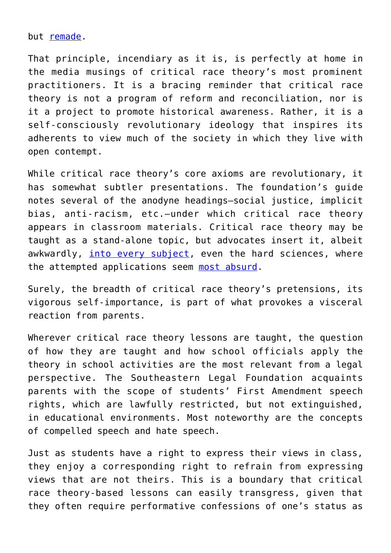but [remade.](https://www.dailysignal.com/2022/04/20/a-harshly-critical-look-at-critical-race-theory-in-classroom/)

That principle, incendiary as it is, is perfectly at home in the media musings of critical race theory's most prominent practitioners. It is a bracing reminder that critical race theory is not a program of reform and reconciliation, nor is it a project to promote historical awareness. Rather, it is a self-consciously revolutionary ideology that inspires its adherents to view much of the society in which they live with open contempt.

While critical race theory's core axioms are revolutionary, it has somewhat subtler presentations. The foundation's guide notes several of the anodyne headings—social justice, implicit bias, anti-racism, etc.—under which critical race theory appears in classroom materials. Critical race theory may be taught as a stand-alone topic, but advocates insert it, albeit awkwardly, [into every subject,](https://www.dailysignal.com/2022/04/28/is-critical-race-theory-being-taught-in-our-schools-here-are-the-facts/) even the hard sciences, where the attempted applications seem [most absurd.](https://www.dailysignal.com/2021/02/23/woke-math-spreads-to-oregon/)

Surely, the breadth of critical race theory's pretensions, its vigorous self-importance, is part of what provokes a visceral reaction from parents.

Wherever critical race theory lessons are taught, the question of how they are taught and how school officials apply the theory in school activities are the most relevant from a legal perspective. The Southeastern Legal Foundation acquaints parents with the scope of students' First Amendment speech rights, which are lawfully restricted, but not extinguished, in educational environments. Most noteworthy are the concepts of compelled speech and hate speech.

Just as students have a right to express their views in class, they enjoy a corresponding right to refrain from expressing views that are not theirs. This is a boundary that critical race theory-based lessons can easily transgress, given that they often require performative confessions of one's status as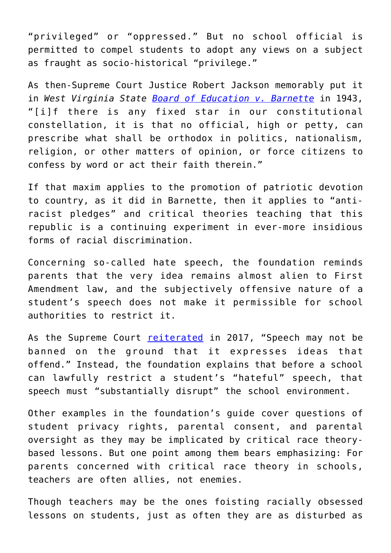"privileged" or "oppressed." But no school official is permitted to compel students to adopt any views on a subject as fraught as socio-historical "privilege."

As then-Supreme Court Justice Robert Jackson memorably put it in *West Virginia State [Board of Education v. Barnette](https://www.law.cornell.edu/supremecourt/text/319/624)* in 1943, "[i]f there is any fixed star in our constitutional constellation, it is that no official, high or petty, can prescribe what shall be orthodox in politics, nationalism, religion, or other matters of opinion, or force citizens to confess by word or act their faith therein."

If that maxim applies to the promotion of patriotic devotion to country, as it did in Barnette, then it applies to "antiracist pledges" and critical theories teaching that this republic is a continuing experiment in ever-more insidious forms of racial discrimination.

Concerning so-called hate speech, the foundation reminds parents that the very idea remains almost alien to First Amendment law, and the subjectively offensive nature of a student's speech does not make it permissible for school authorities to restrict it.

As the Supreme Court [reiterated](https://www.supremecourt.gov/opinions/16pdf/15-1293_1o13.pdf) in 2017, "Speech may not be banned on the ground that it expresses ideas that offend." Instead, the foundation explains that before a school can lawfully restrict a student's "hateful" speech, that speech must "substantially disrupt" the school environment.

Other examples in the foundation's guide cover questions of student privacy rights, parental consent, and parental oversight as they may be implicated by critical race theorybased lessons. But one point among them bears emphasizing: For parents concerned with critical race theory in schools, teachers are often allies, not enemies.

Though teachers may be the ones foisting racially obsessed lessons on students, just as often they are as disturbed as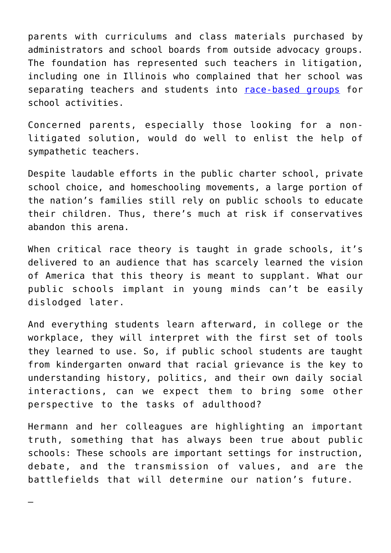parents with curriculums and class materials purchased by administrators and school boards from outside advocacy groups. The foundation has represented such teachers in litigation, including one in Illinois who complained that her school was separating teachers and students into [race-based groups](https://www.slfliberty.org/case/deemar-v-evanston-skokie-school-district-65/) for school activities.

Concerned parents, especially those looking for a nonlitigated solution, would do well to enlist the help of sympathetic teachers.

Despite laudable efforts in the public charter school, private school choice, and homeschooling movements, a large portion of the nation's families still rely on public schools to educate their children. Thus, there's much at risk if conservatives abandon this arena.

When critical race theory is taught in grade schools, it's delivered to an audience that has scarcely learned the vision of America that this theory is meant to supplant. What our public schools implant in young minds can't be easily dislodged later.

And everything students learn afterward, in college or the workplace, they will interpret with the first set of tools they learned to use. So, if public school students are taught from kindergarten onward that racial grievance is the key to understanding history, politics, and their own daily social interactions, can we expect them to bring some other perspective to the tasks of adulthood?

Hermann and her colleagues are highlighting an important truth, something that has always been true about public schools: These schools are important settings for instruction, debate, and the transmission of values, and are the battlefields that will determine our nation's future.

—